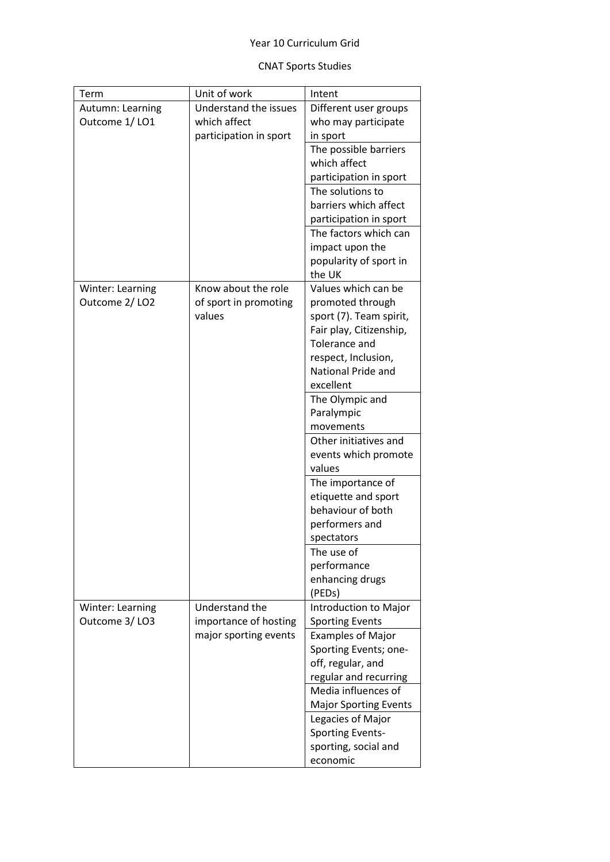## Year 10 Curriculum Grid

## CNAT Sports Studies

| Term             | Unit of work           | Intent                                             |
|------------------|------------------------|----------------------------------------------------|
| Autumn: Learning | Understand the issues  | Different user groups                              |
| Outcome 1/LO1    | which affect           | who may participate                                |
|                  | participation in sport | in sport                                           |
|                  |                        | The possible barriers                              |
|                  |                        | which affect                                       |
|                  |                        | participation in sport                             |
|                  |                        | The solutions to                                   |
|                  |                        | barriers which affect                              |
|                  |                        | participation in sport                             |
|                  |                        | The factors which can                              |
|                  |                        | impact upon the                                    |
|                  |                        | popularity of sport in                             |
|                  |                        | the UK                                             |
| Winter: Learning | Know about the role    | Values which can be                                |
| Outcome 2/LO2    | of sport in promoting  | promoted through                                   |
|                  | values                 | sport (7). Team spirit,<br>Fair play, Citizenship, |
|                  |                        | Tolerance and                                      |
|                  |                        | respect, Inclusion,                                |
|                  |                        | National Pride and                                 |
|                  |                        | excellent                                          |
|                  |                        | The Olympic and                                    |
|                  |                        | Paralympic                                         |
|                  |                        | movements                                          |
|                  |                        | Other initiatives and                              |
|                  |                        | events which promote                               |
|                  |                        | values                                             |
|                  |                        | The importance of                                  |
|                  |                        | etiquette and sport                                |
|                  |                        | behaviour of both                                  |
|                  |                        | performers and                                     |
|                  |                        | spectators                                         |
|                  |                        | The use of                                         |
|                  |                        | performance                                        |
|                  |                        | enhancing drugs                                    |
|                  |                        | (PEDs)                                             |
| Winter: Learning | Understand the         | Introduction to Major                              |
| Outcome 3/LO3    | importance of hosting  | <b>Sporting Events</b>                             |
|                  | major sporting events  | <b>Examples of Major</b>                           |
|                  |                        | Sporting Events; one-                              |
|                  |                        | off, regular, and                                  |
|                  |                        | regular and recurring                              |
|                  |                        | Media influences of                                |
|                  |                        | <b>Major Sporting Events</b>                       |
|                  |                        | Legacies of Major                                  |
|                  |                        | <b>Sporting Events-</b>                            |
|                  |                        | sporting, social and                               |
|                  |                        | economic                                           |